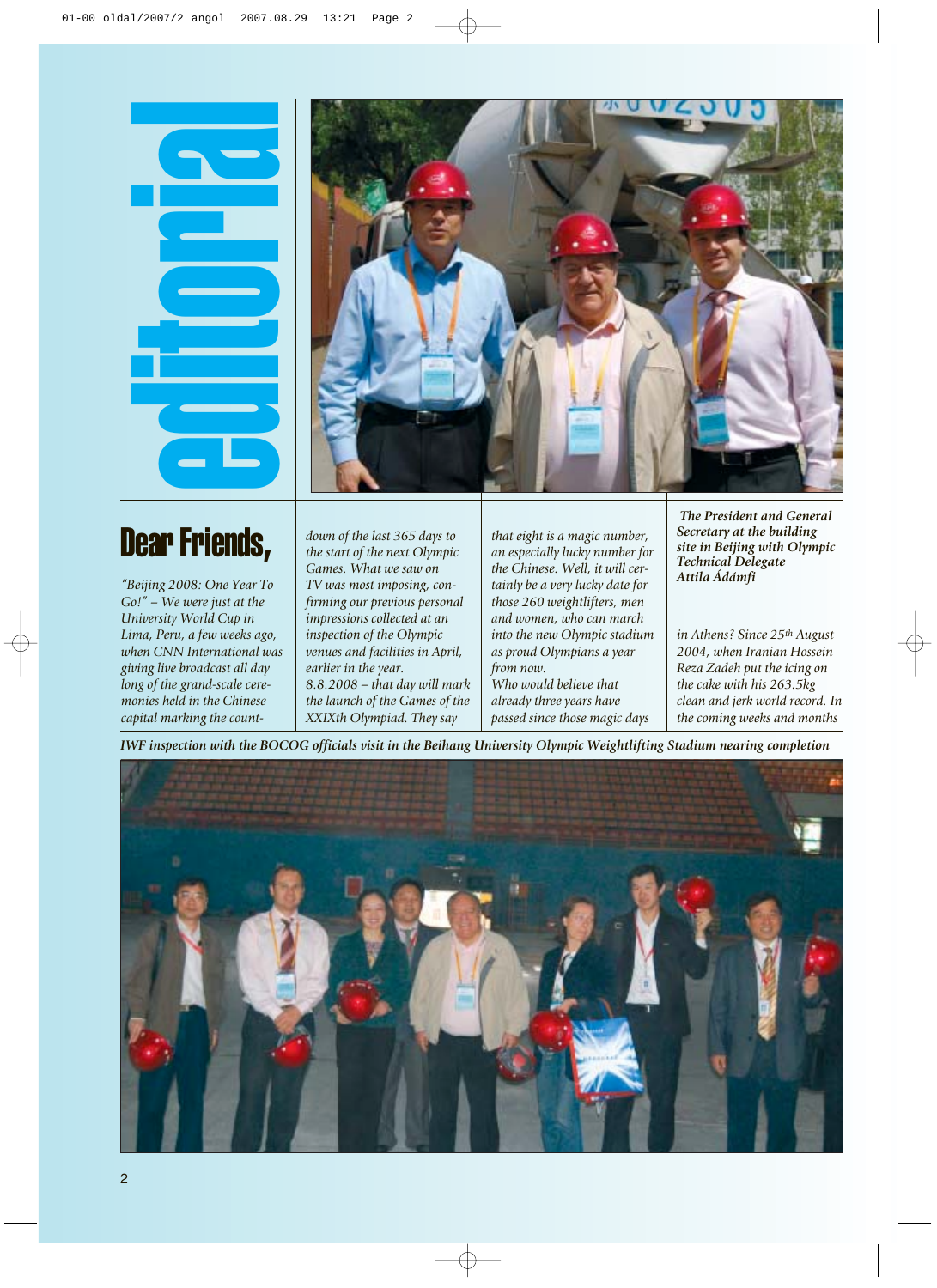## Dear Friends,



*"Beijing 2008: One Year To Go!" – We were just at the University World Cup in Lima, Peru, a few weeks ago, when CNN International was giving live broadcast all day long of the grand-scale ceremonies held in the Chinese capital marking the count-*

*down of the last 365 days to the start of the next Olympic Games. What we saw on TV was most imposing, confirming our previous personal impressions collected at an inspection of the Olympic venues and facilities in April, earlier in the year. 8.8.2008 – that day will mark the launch of the Games of the XXIXth Olympiad. They say*

*that eight is a magic number, an especially lucky number for the Chinese. Well, it will certainly be a very lucky date for those 260 weightlifters, men and women, who can march into the new Olympic stadium as proud Olympians a year from now.*

*Who would believe that already three years have passed since those magic days*

*The President and General Secretary at the building site in Beijing with Olympic Technical Delegate Attila Ádámfi*

*in Athens? Since 25th August 2004, when Iranian Hossein Reza Zadeh put the icing on the cake with his 263.5kg clean and jerk world record. In the coming weeks and months*

*IWF inspection with the BOCOG officials visit in the Beihang University Olympic Weightlifting Stadium nearing completion*